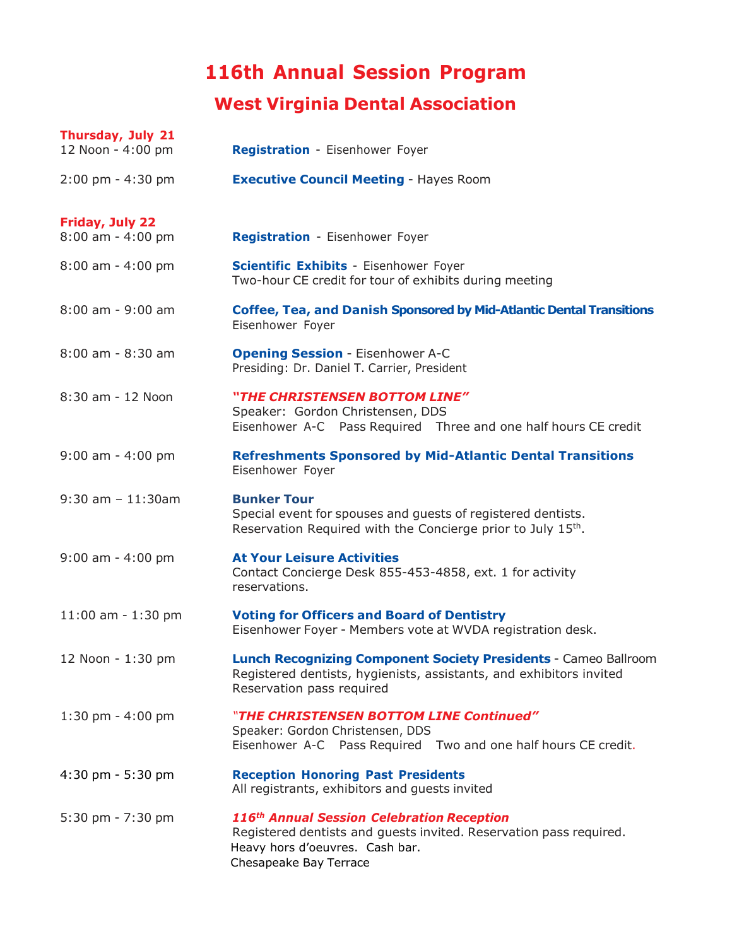# **116th Annual Session Program**

## **West Virginia Dental Association**

| Thursday, July 21<br>12 Noon - 4:00 pm | Registration - Eisenhower Foyer                                                                                                                                                           |
|----------------------------------------|-------------------------------------------------------------------------------------------------------------------------------------------------------------------------------------------|
| $2:00 \text{ pm} - 4:30 \text{ pm}$    | <b>Executive Council Meeting - Hayes Room</b>                                                                                                                                             |
| Friday, July 22<br>$8:00$ am - 4:00 pm | <b>Registration - Eisenhower Foyer</b>                                                                                                                                                    |
| $8:00$ am - 4:00 pm                    | <b>Scientific Exhibits - Eisenhower Foyer</b><br>Two-hour CE credit for tour of exhibits during meeting                                                                                   |
| $8:00$ am - $9:00$ am                  | <b>Coffee, Tea, and Danish Sponsored by Mid-Atlantic Dental Transitions</b><br>Eisenhower Foyer                                                                                           |
| 8:00 am - 8:30 am                      | <b>Opening Session - Eisenhower A-C</b><br>Presiding: Dr. Daniel T. Carrier, President                                                                                                    |
| 8:30 am - 12 Noon                      | "THE CHRISTENSEN BOTTOM LINE"<br>Speaker: Gordon Christensen, DDS<br>Eisenhower A-C Pass Required Three and one half hours CE credit                                                      |
| $9:00$ am - 4:00 pm                    | <b>Refreshments Sponsored by Mid-Atlantic Dental Transitions</b><br>Eisenhower Foyer                                                                                                      |
| $9:30$ am $-11:30$ am                  | <b>Bunker Tour</b><br>Special event for spouses and guests of registered dentists.<br>Reservation Required with the Concierge prior to July 15th.                                         |
| $9:00$ am - 4:00 pm                    | <b>At Your Leisure Activities</b><br>Contact Concierge Desk 855-453-4858, ext. 1 for activity<br>reservations.                                                                            |
| $11:00$ am - $1:30$ pm                 | <b>Voting for Officers and Board of Dentistry</b><br>Eisenhower Foyer - Members vote at WVDA registration desk.                                                                           |
| 12 Noon - 1:30 pm                      | <b>Lunch Recognizing Component Society Presidents - Cameo Ballroom</b><br>Registered dentists, hygienists, assistants, and exhibitors invited<br>Reservation pass required                |
| $1:30$ pm - $4:00$ pm                  | "THE CHRISTENSEN BOTTOM LINE Continued"<br>Speaker: Gordon Christensen, DDS<br>Eisenhower A-C Pass Required Two and one half hours CE credit.                                             |
| $4:30$ pm - 5:30 pm                    | <b>Reception Honoring Past Presidents</b><br>All registrants, exhibitors and guests invited                                                                                               |
| 5:30 pm - 7:30 pm                      | 116 <sup>th</sup> Annual Session Celebration Reception<br>Registered dentists and guests invited. Reservation pass required.<br>Heavy hors d'oeuvres. Cash bar.<br>Chesapeake Bay Terrace |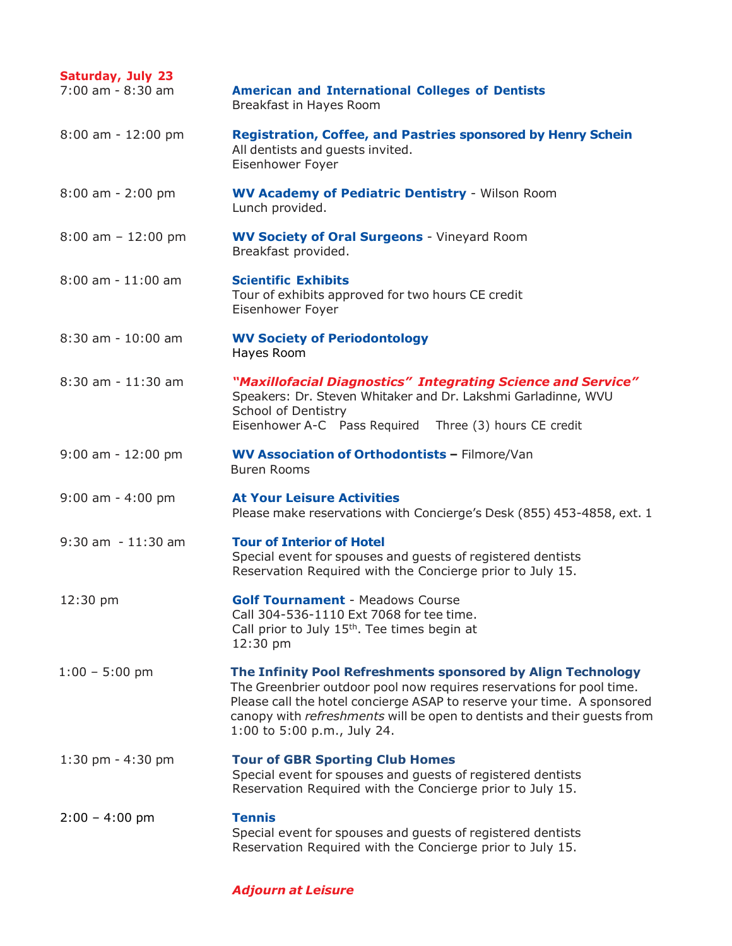| Saturday, July 23<br>7:00 am - 8:30 am | <b>American and International Colleges of Dentists</b><br>Breakfast in Hayes Room                                                                                                                                                                                                                                        |
|----------------------------------------|--------------------------------------------------------------------------------------------------------------------------------------------------------------------------------------------------------------------------------------------------------------------------------------------------------------------------|
| 8:00 am - 12:00 pm                     | <b>Registration, Coffee, and Pastries sponsored by Henry Schein</b><br>All dentists and guests invited.<br>Eisenhower Foyer                                                                                                                                                                                              |
| $8:00$ am - 2:00 pm                    | <b>WV Academy of Pediatric Dentistry - Wilson Room</b><br>Lunch provided.                                                                                                                                                                                                                                                |
| $8:00$ am $-12:00$ pm                  | <b>WV Society of Oral Surgeons - Vineyard Room</b><br>Breakfast provided.                                                                                                                                                                                                                                                |
| 8:00 am - 11:00 am                     | <b>Scientific Exhibits</b><br>Tour of exhibits approved for two hours CE credit<br>Eisenhower Foyer                                                                                                                                                                                                                      |
| $8:30$ am - $10:00$ am                 | <b>WV Society of Periodontology</b><br>Hayes Room                                                                                                                                                                                                                                                                        |
| 8:30 am - 11:30 am                     | "Maxillofacial Diagnostics" Integrating Science and Service"<br>Speakers: Dr. Steven Whitaker and Dr. Lakshmi Garladinne, WVU<br>School of Dentistry<br>Eisenhower A-C Pass Required Three (3) hours CE credit                                                                                                           |
| $9:00$ am - $12:00$ pm                 | WV Association of Orthodontists - Filmore/Van<br><b>Buren Rooms</b>                                                                                                                                                                                                                                                      |
| $9:00$ am - 4:00 pm                    | <b>At Your Leisure Activities</b><br>Please make reservations with Concierge's Desk (855) 453-4858, ext. 1                                                                                                                                                                                                               |
| $9:30$ am $-11:30$ am                  | <b>Tour of Interior of Hotel</b><br>Special event for spouses and guests of registered dentists<br>Reservation Required with the Concierge prior to July 15.                                                                                                                                                             |
| 12:30 pm                               | <b>Golf Tournament - Meadows Course</b><br>Call 304-536-1110 Ext 7068 for tee time.<br>Call prior to July $15th$ . Tee times begin at<br>12:30 pm                                                                                                                                                                        |
| $1:00 - 5:00$ pm                       | The Infinity Pool Refreshments sponsored by Align Technology<br>The Greenbrier outdoor pool now requires reservations for pool time.<br>Please call the hotel concierge ASAP to reserve your time. A sponsored<br>canopy with refreshments will be open to dentists and their guests from<br>1:00 to 5:00 p.m., July 24. |
| $1:30$ pm - $4:30$ pm                  | <b>Tour of GBR Sporting Club Homes</b><br>Special event for spouses and guests of registered dentists<br>Reservation Required with the Concierge prior to July 15.                                                                                                                                                       |
| $2:00 - 4:00$ pm                       | <b>Tennis</b><br>Special event for spouses and guests of registered dentists<br>Reservation Required with the Concierge prior to July 15.                                                                                                                                                                                |

#### *Adjourn at Leisure*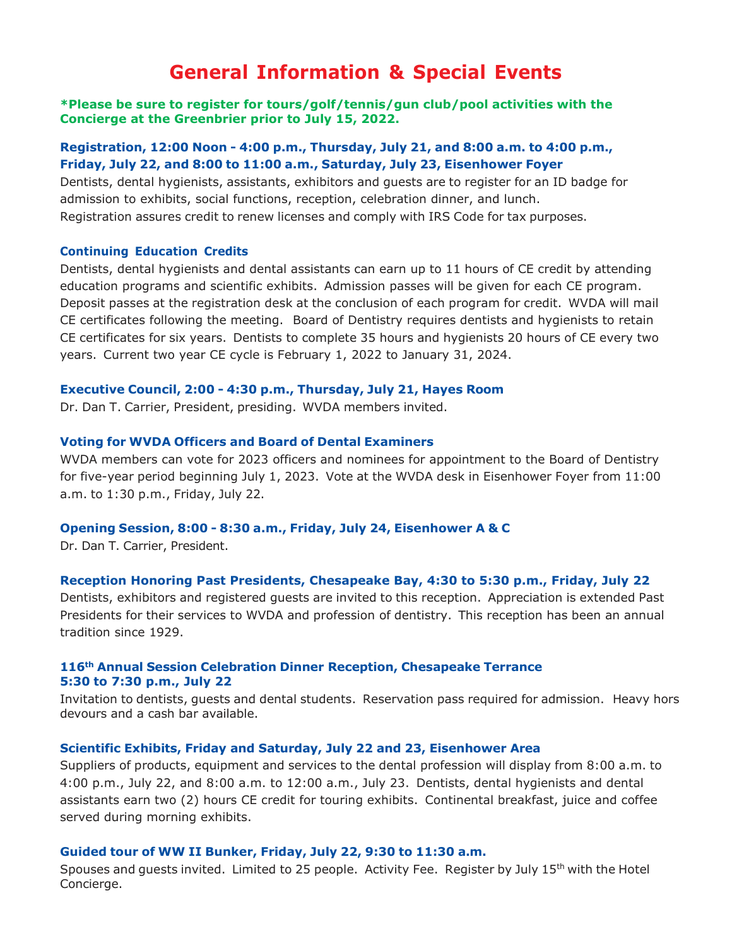### **General Information & Special Events**

#### **\*Please be sure to register for tours/golf/tennis/gun club/pool activities with the Concierge at the Greenbrier prior to July 15, 2022.**

#### **Registration, 12:00 Noon - 4:00 p.m., Thursday, July 21, and 8:00 a.m. to 4:00 p.m., Friday, July 22, and 8:00 to 11:00 a.m., Saturday, July 23, Eisenhower Foyer**

Dentists, dental hygienists, assistants, exhibitors and guests are to register for an ID badge for admission to exhibits, social functions, reception, celebration dinner, and lunch. Registration assures credit to renew licenses and comply with IRS Code for tax purposes.

#### **Continuing Education Credits**

Dentists, dental hygienists and dental assistants can earn up to 11 hours of CE credit by attending education programs and scientific exhibits. Admission passes will be given for each CE program. Deposit passes at the registration desk at the conclusion of each program for credit. WVDA will mail CE certificates following the meeting. Board of Dentistry requires dentists and hygienists to retain CE certificates for six years. Dentists to complete 35 hours and hygienists 20 hours of CE every two years. Current two year CE cycle is February 1, 2022 to January 31, 2024.

#### **Executive Council, 2:00 - 4:30 p.m., Thursday, July 21, Hayes Room**

Dr. Dan T. Carrier, President, presiding. WVDA members invited.

#### **Voting for WVDA Officers and Board of Dental Examiners**

WVDA members can vote for 2023 officers and nominees for appointment to the Board of Dentistry for five-year period beginning July 1, 2023. Vote at the WVDA desk in Eisenhower Foyer from 11:00 a.m. to 1:30 p.m., Friday, July 22.

#### **Opening Session, 8:00 - 8:30 a.m., Friday, July 24, Eisenhower A & C**

Dr. Dan T. Carrier, President.

#### **Reception Honoring Past Presidents, Chesapeake Bay, 4:30 to 5:30 p.m., Friday, July 22**

Dentists, exhibitors and registered guests are invited to this reception. Appreciation is extended Past Presidents for their services to WVDA and profession of dentistry. This reception has been an annual tradition since 1929.

#### **116th Annual Session Celebration Dinner Reception, Chesapeake Terrance 5:30 to 7:30 p.m., July 22**

Invitation to dentists, guests and dental students. Reservation pass required for admission. Heavy hors devours and a cash bar available.

#### **Scientific Exhibits, Friday and Saturday, July 22 and 23, Eisenhower Area**

Suppliers of products, equipment and services to the dental profession will display from 8:00 a.m. to 4:00 p.m., July 22, and 8:00 a.m. to 12:00 a.m., July 23. Dentists, dental hygienists and dental assistants earn two (2) hours CE credit for touring exhibits. Continental breakfast, juice and coffee served during morning exhibits.

#### **Guided tour of WW II Bunker, Friday, July 22, 9:30 to 11:30 a.m.**

Spouses and quests invited. Limited to 25 people. Activity Fee. Register by July 15<sup>th</sup> with the Hotel Concierge.